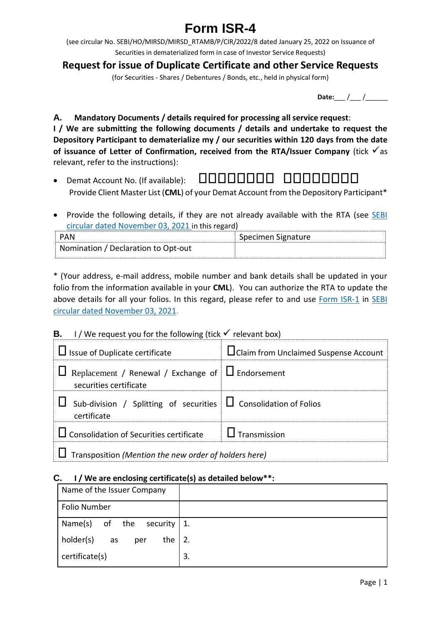# **Form ISR-4**

(see circular No. SEBI/HO/MIRSD/MIRSD\_RTAMB/P/CIR/2022/8 dated January 25, 2022 on Issuance of Securities in dematerialized form in case of Investor Service Requests)

## **Request for issue of Duplicate Certificate and other Service Requests**

(for Securities - Shares / Debentures / Bonds, etc., held in physical form)

**Date:** / /

**A. Mandatory Documents / details required for processing all service request**: **I / We are submitting the following documents / details and undertake to request the Depository Participant to dematerialize my / our securities within 120 days from the date**  of **issuance of Letter of Confirmation, received from the RTA/Issuer Company** (tick  $\checkmark$  as relevant, refer to the instructions):

- Demat Account No. (If available): Provide Client Master List (**CML**) of your Demat Account from the Depository Participant\*
- Provide the following details, if they are not already available with the RTA (see SEBI [circular dated November 03, 2021](https://www.sebi.gov.in/legal/circulars/nov-2021/common-and-simplified-norms-for-processing-investor-s-service-request-by-rtas-and-norms-for-furnishing-pan-kyc-details-and-nomination_53787.html) in this regard)

| PAN                                 | Specimen Signature |
|-------------------------------------|--------------------|
| Nomination / Declaration to Opt-out |                    |

\* (Your address, e-mail address, mobile number and bank details shall be updated in your folio from the information available in your **CML**). You can authorize the RTA to update the above details for all your folios. In this regard, please refer to and use [Form ISR-1](https://www.sebi.gov.in/sebi_data/commondocs/dec-2021/pdf%20Form%20ISR-1%20(1)_p.pdf) in SEBI [circular dated November 03, 2021.](https://www.sebi.gov.in/legal/circulars/nov-2021/common-and-simplified-norms-for-processing-investor-s-service-request-by-rtas-and-norms-for-furnishing-pan-kyc-details-and-nomination_53787.html)

### **B.** I / We request you for the following (tick  $\checkmark$  relevant box)

| $\Box$ Issue of Duplicate certificate                                                       | <b>L</b> Claim from Unclaimed Suspense Account |  |  |
|---------------------------------------------------------------------------------------------|------------------------------------------------|--|--|
| $\Box$ Replacement / Renewal / Exchange of $\Box$ Endorsement<br>securities certificate     |                                                |  |  |
| $\Box$ Sub-division / Splitting of securities $\Box$ Consolidation of Folios<br>certificate |                                                |  |  |
| $\Box$ Consolidation of Securities certificate $\Box$ Transmission                          |                                                |  |  |
| $\Box$ Transposition (Mention the new order of holders here)                                |                                                |  |  |

### **C. I / We are enclosing certificate(s) as detailed below\*\*:**

| Name of the Issuer Company      |    |
|---------------------------------|----|
| <b>Folio Number</b>             |    |
| Name(s) of the<br>security   1. |    |
| holder(s)<br>the<br>as<br>per   | 2. |
| certificate(s)                  | 3. |